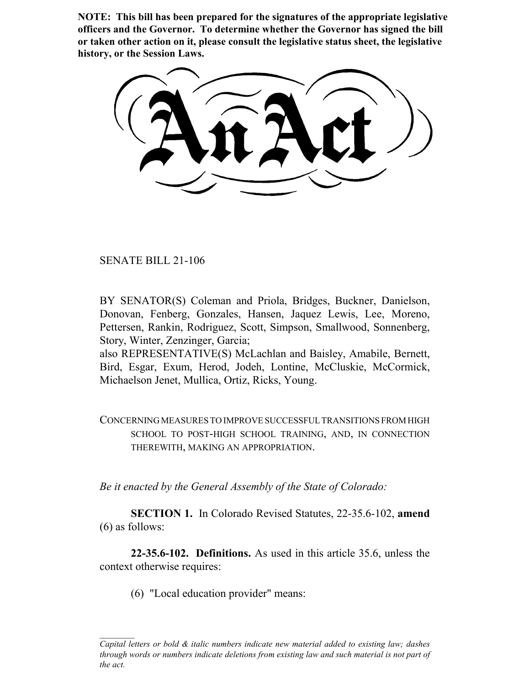**NOTE: This bill has been prepared for the signatures of the appropriate legislative officers and the Governor. To determine whether the Governor has signed the bill or taken other action on it, please consult the legislative status sheet, the legislative history, or the Session Laws.**

SENATE BILL 21-106

BY SENATOR(S) Coleman and Priola, Bridges, Buckner, Danielson, Donovan, Fenberg, Gonzales, Hansen, Jaquez Lewis, Lee, Moreno, Pettersen, Rankin, Rodriguez, Scott, Simpson, Smallwood, Sonnenberg, Story, Winter, Zenzinger, Garcia;

also REPRESENTATIVE(S) McLachlan and Baisley, Amabile, Bernett, Bird, Esgar, Exum, Herod, Jodeh, Lontine, McCluskie, McCormick, Michaelson Jenet, Mullica, Ortiz, Ricks, Young.

CONCERNING MEASURES TO IMPROVE SUCCESSFUL TRANSITIONS FROM HIGH SCHOOL TO POST-HIGH SCHOOL TRAINING, AND, IN CONNECTION THEREWITH, MAKING AN APPROPRIATION.

*Be it enacted by the General Assembly of the State of Colorado:*

**SECTION 1.** In Colorado Revised Statutes, 22-35.6-102, **amend** (6) as follows:

**22-35.6-102. Definitions.** As used in this article 35.6, unless the context otherwise requires:

(6) "Local education provider" means:

*Capital letters or bold & italic numbers indicate new material added to existing law; dashes through words or numbers indicate deletions from existing law and such material is not part of the act.*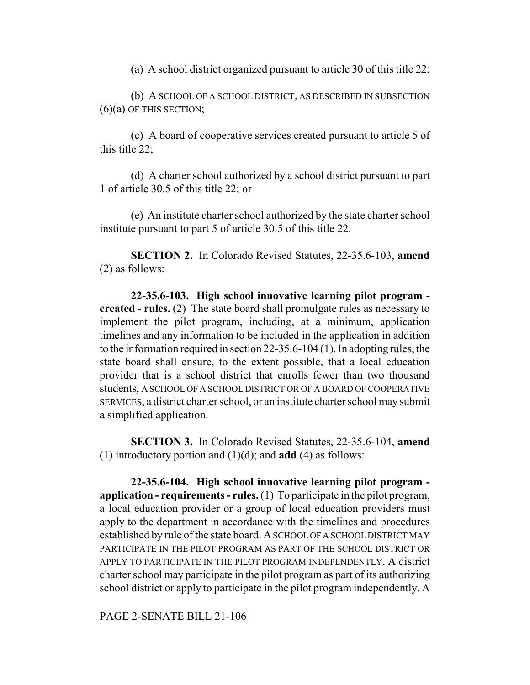(a) A school district organized pursuant to article 30 of this title 22;

(b) A SCHOOL OF A SCHOOL DISTRICT, AS DESCRIBED IN SUBSECTION  $(6)(a)$  OF THIS SECTION;

(c) A board of cooperative services created pursuant to article 5 of this title 22;

(d) A charter school authorized by a school district pursuant to part 1 of article 30.5 of this title 22; or

(e) An institute charter school authorized by the state charter school institute pursuant to part 5 of article 30.5 of this title 22.

**SECTION 2.** In Colorado Revised Statutes, 22-35.6-103, **amend** (2) as follows:

**22-35.6-103. High school innovative learning pilot program created - rules.** (2) The state board shall promulgate rules as necessary to implement the pilot program, including, at a minimum, application timelines and any information to be included in the application in addition to the information required in section 22-35.6-104 (1). In adopting rules, the state board shall ensure, to the extent possible, that a local education provider that is a school district that enrolls fewer than two thousand students, A SCHOOL OF A SCHOOL DISTRICT OR OF A BOARD OF COOPERATIVE SERVICES, a district charter school, or an institute charter school may submit a simplified application.

**SECTION 3.** In Colorado Revised Statutes, 22-35.6-104, **amend** (1) introductory portion and (1)(d); and **add** (4) as follows:

**22-35.6-104. High school innovative learning pilot program application - requirements - rules.** (1) To participate in the pilot program, a local education provider or a group of local education providers must apply to the department in accordance with the timelines and procedures established by rule of the state board. A SCHOOL OF A SCHOOL DISTRICT MAY PARTICIPATE IN THE PILOT PROGRAM AS PART OF THE SCHOOL DISTRICT OR APPLY TO PARTICIPATE IN THE PILOT PROGRAM INDEPENDENTLY. A district charter school may participate in the pilot program as part of its authorizing school district or apply to participate in the pilot program independently. A

PAGE 2-SENATE BILL 21-106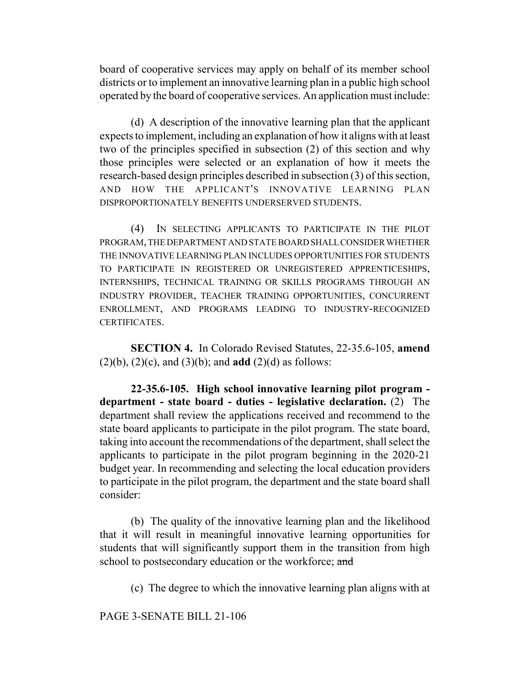board of cooperative services may apply on behalf of its member school districts or to implement an innovative learning plan in a public high school operated by the board of cooperative services. An application must include:

(d) A description of the innovative learning plan that the applicant expects to implement, including an explanation of how it aligns with at least two of the principles specified in subsection (2) of this section and why those principles were selected or an explanation of how it meets the research-based design principles described in subsection (3) of this section, AND HOW THE APPLICANT'S INNOVATIVE LEARNING PLAN DISPROPORTIONATELY BENEFITS UNDERSERVED STUDENTS.

(4) IN SELECTING APPLICANTS TO PARTICIPATE IN THE PILOT PROGRAM, THE DEPARTMENT AND STATE BOARD SHALL CONSIDER WHETHER THE INNOVATIVE LEARNING PLAN INCLUDES OPPORTUNITIES FOR STUDENTS TO PARTICIPATE IN REGISTERED OR UNREGISTERED APPRENTICESHIPS, INTERNSHIPS, TECHNICAL TRAINING OR SKILLS PROGRAMS THROUGH AN INDUSTRY PROVIDER, TEACHER TRAINING OPPORTUNITIES, CONCURRENT ENROLLMENT, AND PROGRAMS LEADING TO INDUSTRY-RECOGNIZED CERTIFICATES.

**SECTION 4.** In Colorado Revised Statutes, 22-35.6-105, **amend** (2)(b), (2)(c), and (3)(b); and **add** (2)(d) as follows:

**22-35.6-105. High school innovative learning pilot program department - state board - duties - legislative declaration.** (2) The department shall review the applications received and recommend to the state board applicants to participate in the pilot program. The state board, taking into account the recommendations of the department, shall select the applicants to participate in the pilot program beginning in the 2020-21 budget year. In recommending and selecting the local education providers to participate in the pilot program, the department and the state board shall consider:

(b) The quality of the innovative learning plan and the likelihood that it will result in meaningful innovative learning opportunities for students that will significantly support them in the transition from high school to postsecondary education or the workforce; and

(c) The degree to which the innovative learning plan aligns with at

PAGE 3-SENATE BILL 21-106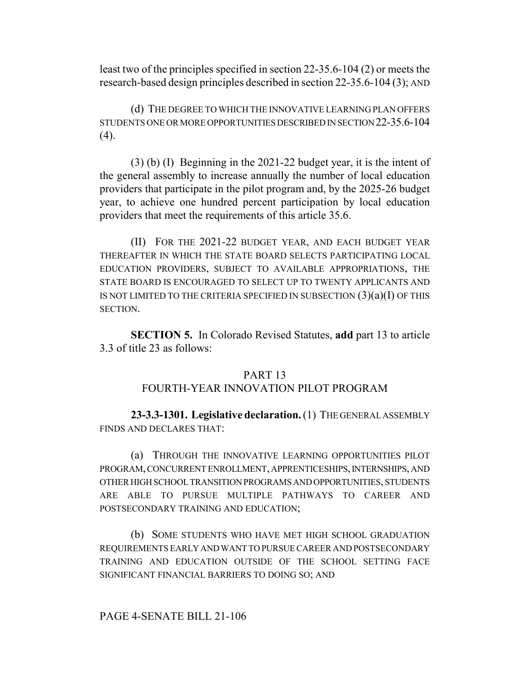least two of the principles specified in section 22-35.6-104 (2) or meets the research-based design principles described in section 22-35.6-104 (3); AND

(d) THE DEGREE TO WHICH THE INNOVATIVE LEARNING PLAN OFFERS STUDENTS ONE OR MORE OPPORTUNITIES DESCRIBED IN SECTION 22-35.6-104  $(4)$ .

(3) (b) (I) Beginning in the 2021-22 budget year, it is the intent of the general assembly to increase annually the number of local education providers that participate in the pilot program and, by the 2025-26 budget year, to achieve one hundred percent participation by local education providers that meet the requirements of this article 35.6.

(II) FOR THE 2021-22 BUDGET YEAR, AND EACH BUDGET YEAR THEREAFTER IN WHICH THE STATE BOARD SELECTS PARTICIPATING LOCAL EDUCATION PROVIDERS, SUBJECT TO AVAILABLE APPROPRIATIONS, THE STATE BOARD IS ENCOURAGED TO SELECT UP TO TWENTY APPLICANTS AND IS NOT LIMITED TO THE CRITERIA SPECIFIED IN SUBSECTION  $(3)(a)(I)$  OF THIS SECTION.

**SECTION 5.** In Colorado Revised Statutes, **add** part 13 to article 3.3 of title 23 as follows:

## PART 13

# FOURTH-YEAR INNOVATION PILOT PROGRAM

**23-3.3-1301. Legislative declaration.** (1) THE GENERAL ASSEMBLY FINDS AND DECLARES THAT:

(a) THROUGH THE INNOVATIVE LEARNING OPPORTUNITIES PILOT PROGRAM, CONCURRENT ENROLLMENT, APPRENTICESHIPS, INTERNSHIPS, AND OTHER HIGH SCHOOL TRANSITION PROGRAMS AND OPPORTUNITIES, STUDENTS ARE ABLE TO PURSUE MULTIPLE PATHWAYS TO CAREER AND POSTSECONDARY TRAINING AND EDUCATION;

(b) SOME STUDENTS WHO HAVE MET HIGH SCHOOL GRADUATION REQUIREMENTS EARLY AND WANT TO PURSUE CAREER AND POSTSECONDARY TRAINING AND EDUCATION OUTSIDE OF THE SCHOOL SETTING FACE SIGNIFICANT FINANCIAL BARRIERS TO DOING SO; AND

#### PAGE 4-SENATE BILL 21-106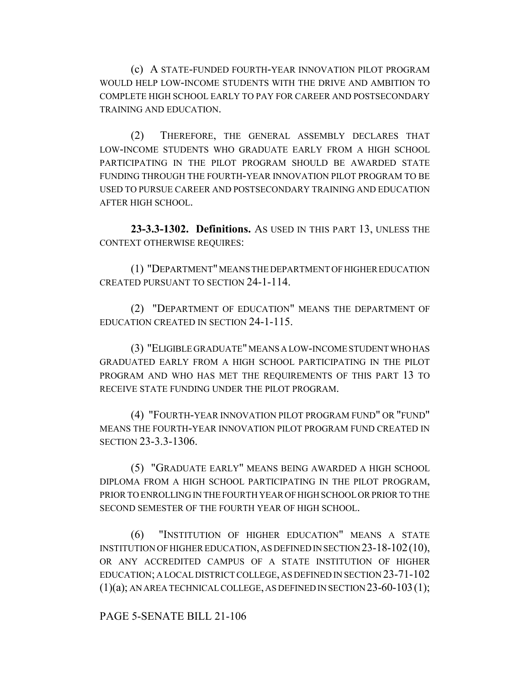(c) A STATE-FUNDED FOURTH-YEAR INNOVATION PILOT PROGRAM WOULD HELP LOW-INCOME STUDENTS WITH THE DRIVE AND AMBITION TO COMPLETE HIGH SCHOOL EARLY TO PAY FOR CAREER AND POSTSECONDARY TRAINING AND EDUCATION.

(2) THEREFORE, THE GENERAL ASSEMBLY DECLARES THAT LOW-INCOME STUDENTS WHO GRADUATE EARLY FROM A HIGH SCHOOL PARTICIPATING IN THE PILOT PROGRAM SHOULD BE AWARDED STATE FUNDING THROUGH THE FOURTH-YEAR INNOVATION PILOT PROGRAM TO BE USED TO PURSUE CAREER AND POSTSECONDARY TRAINING AND EDUCATION AFTER HIGH SCHOOL.

**23-3.3-1302. Definitions.** AS USED IN THIS PART 13, UNLESS THE CONTEXT OTHERWISE REQUIRES:

(1) "DEPARTMENT" MEANS THE DEPARTMENT OF HIGHER EDUCATION CREATED PURSUANT TO SECTION 24-1-114.

(2) "DEPARTMENT OF EDUCATION" MEANS THE DEPARTMENT OF EDUCATION CREATED IN SECTION 24-1-115.

(3) "ELIGIBLE GRADUATE" MEANS A LOW-INCOME STUDENT WHO HAS GRADUATED EARLY FROM A HIGH SCHOOL PARTICIPATING IN THE PILOT PROGRAM AND WHO HAS MET THE REQUIREMENTS OF THIS PART 13 TO RECEIVE STATE FUNDING UNDER THE PILOT PROGRAM.

(4) "FOURTH-YEAR INNOVATION PILOT PROGRAM FUND" OR "FUND" MEANS THE FOURTH-YEAR INNOVATION PILOT PROGRAM FUND CREATED IN SECTION 23-3.3-1306.

(5) "GRADUATE EARLY" MEANS BEING AWARDED A HIGH SCHOOL DIPLOMA FROM A HIGH SCHOOL PARTICIPATING IN THE PILOT PROGRAM, PRIOR TO ENROLLING IN THE FOURTH YEAR OF HIGH SCHOOL OR PRIOR TO THE SECOND SEMESTER OF THE FOURTH YEAR OF HIGH SCHOOL.

(6) "INSTITUTION OF HIGHER EDUCATION" MEANS A STATE INSTITUTION OF HIGHER EDUCATION, AS DEFINED IN SECTION 23-18-102(10), OR ANY ACCREDITED CAMPUS OF A STATE INSTITUTION OF HIGHER EDUCATION; A LOCAL DISTRICT COLLEGE, AS DEFINED IN SECTION 23-71-102  $(1)(a)$ ; AN AREA TECHNICAL COLLEGE, AS DEFINED IN SECTION 23-60-103(1);

## PAGE 5-SENATE BILL 21-106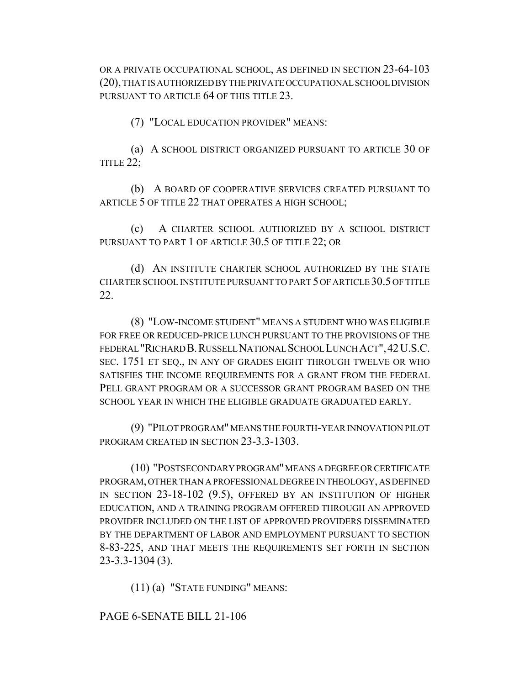OR A PRIVATE OCCUPATIONAL SCHOOL, AS DEFINED IN SECTION 23-64-103 (20), THAT IS AUTHORIZED BY THE PRIVATE OCCUPATIONAL SCHOOL DIVISION PURSUANT TO ARTICLE 64 OF THIS TITLE 23.

(7) "LOCAL EDUCATION PROVIDER" MEANS:

(a) A SCHOOL DISTRICT ORGANIZED PURSUANT TO ARTICLE 30 OF TITLE 22;

(b) A BOARD OF COOPERATIVE SERVICES CREATED PURSUANT TO ARTICLE 5 OF TITLE 22 THAT OPERATES A HIGH SCHOOL;

(c) A CHARTER SCHOOL AUTHORIZED BY A SCHOOL DISTRICT PURSUANT TO PART 1 OF ARTICLE 30.5 OF TITLE 22; OR

(d) AN INSTITUTE CHARTER SCHOOL AUTHORIZED BY THE STATE CHARTER SCHOOL INSTITUTE PURSUANT TO PART 5 OF ARTICLE 30.5 OF TITLE 22.

(8) "LOW-INCOME STUDENT" MEANS A STUDENT WHO WAS ELIGIBLE FOR FREE OR REDUCED-PRICE LUNCH PURSUANT TO THE PROVISIONS OF THE FEDERAL "RICHARD B.RUSSELL NATIONAL SCHOOL LUNCH ACT",42U.S.C. SEC. 1751 ET SEQ., IN ANY OF GRADES EIGHT THROUGH TWELVE OR WHO SATISFIES THE INCOME REQUIREMENTS FOR A GRANT FROM THE FEDERAL PELL GRANT PROGRAM OR A SUCCESSOR GRANT PROGRAM BASED ON THE SCHOOL YEAR IN WHICH THE ELIGIBLE GRADUATE GRADUATED EARLY.

(9) "PILOT PROGRAM" MEANS THE FOURTH-YEAR INNOVATION PILOT PROGRAM CREATED IN SECTION 23-3.3-1303.

(10) "POSTSECONDARY PROGRAM" MEANS A DEGREE OR CERTIFICATE PROGRAM, OTHER THAN A PROFESSIONAL DEGREE IN THEOLOGY, AS DEFINED IN SECTION 23-18-102 (9.5), OFFERED BY AN INSTITUTION OF HIGHER EDUCATION, AND A TRAINING PROGRAM OFFERED THROUGH AN APPROVED PROVIDER INCLUDED ON THE LIST OF APPROVED PROVIDERS DISSEMINATED BY THE DEPARTMENT OF LABOR AND EMPLOYMENT PURSUANT TO SECTION 8-83-225, AND THAT MEETS THE REQUIREMENTS SET FORTH IN SECTION 23-3.3-1304 (3).

(11) (a) "STATE FUNDING" MEANS:

#### PAGE 6-SENATE BILL 21-106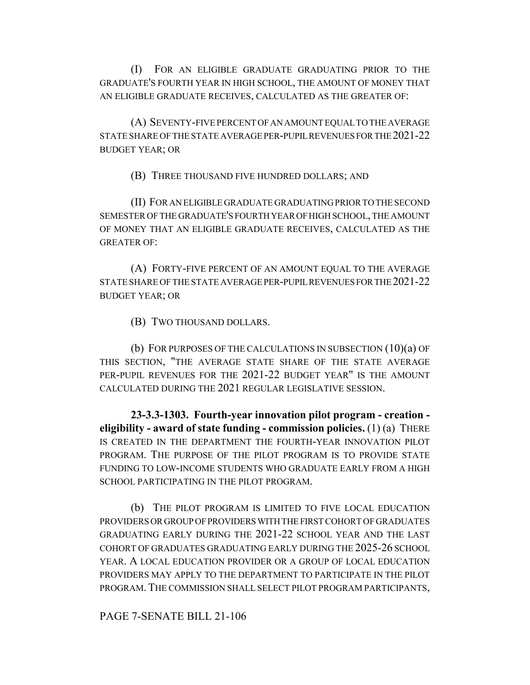(I) FOR AN ELIGIBLE GRADUATE GRADUATING PRIOR TO THE GRADUATE'S FOURTH YEAR IN HIGH SCHOOL, THE AMOUNT OF MONEY THAT AN ELIGIBLE GRADUATE RECEIVES, CALCULATED AS THE GREATER OF:

(A) SEVENTY-FIVE PERCENT OF AN AMOUNT EQUAL TO THE AVERAGE STATE SHARE OF THE STATE AVERAGE PER-PUPIL REVENUES FOR THE 2021-22 BUDGET YEAR; OR

(B) THREE THOUSAND FIVE HUNDRED DOLLARS; AND

(II) FOR AN ELIGIBLE GRADUATE GRADUATING PRIOR TO THE SECOND SEMESTER OF THE GRADUATE'S FOURTH YEAR OF HIGH SCHOOL, THE AMOUNT OF MONEY THAT AN ELIGIBLE GRADUATE RECEIVES, CALCULATED AS THE GREATER OF:

(A) FORTY-FIVE PERCENT OF AN AMOUNT EQUAL TO THE AVERAGE STATE SHARE OF THE STATE AVERAGE PER-PUPIL REVENUES FOR THE 2021-22 BUDGET YEAR; OR

(B) TWO THOUSAND DOLLARS.

(b) FOR PURPOSES OF THE CALCULATIONS IN SUBSECTION (10)(a) OF THIS SECTION, "THE AVERAGE STATE SHARE OF THE STATE AVERAGE PER-PUPIL REVENUES FOR THE 2021-22 BUDGET YEAR" IS THE AMOUNT CALCULATED DURING THE 2021 REGULAR LEGISLATIVE SESSION.

**23-3.3-1303. Fourth-year innovation pilot program - creation eligibility - award of state funding - commission policies.** (1) (a) THERE IS CREATED IN THE DEPARTMENT THE FOURTH-YEAR INNOVATION PILOT PROGRAM. THE PURPOSE OF THE PILOT PROGRAM IS TO PROVIDE STATE FUNDING TO LOW-INCOME STUDENTS WHO GRADUATE EARLY FROM A HIGH SCHOOL PARTICIPATING IN THE PILOT PROGRAM.

(b) THE PILOT PROGRAM IS LIMITED TO FIVE LOCAL EDUCATION PROVIDERS OR GROUP OF PROVIDERS WITH THE FIRST COHORT OF GRADUATES GRADUATING EARLY DURING THE 2021-22 SCHOOL YEAR AND THE LAST COHORT OF GRADUATES GRADUATING EARLY DURING THE 2025-26 SCHOOL YEAR. A LOCAL EDUCATION PROVIDER OR A GROUP OF LOCAL EDUCATION PROVIDERS MAY APPLY TO THE DEPARTMENT TO PARTICIPATE IN THE PILOT PROGRAM.THE COMMISSION SHALL SELECT PILOT PROGRAM PARTICIPANTS,

PAGE 7-SENATE BILL 21-106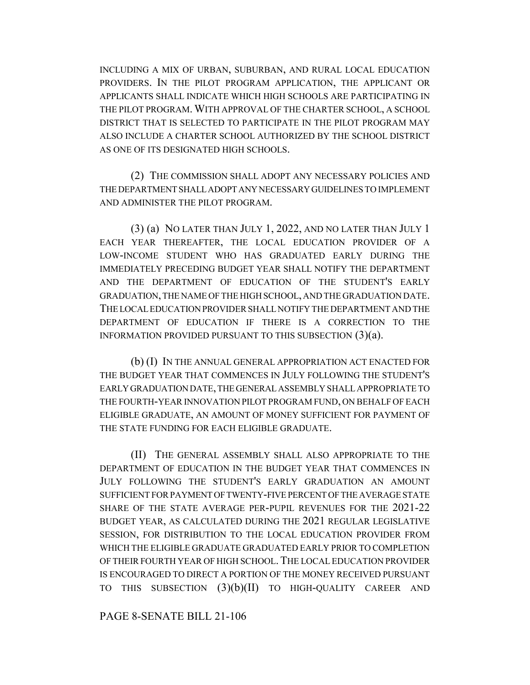INCLUDING A MIX OF URBAN, SUBURBAN, AND RURAL LOCAL EDUCATION PROVIDERS. IN THE PILOT PROGRAM APPLICATION, THE APPLICANT OR APPLICANTS SHALL INDICATE WHICH HIGH SCHOOLS ARE PARTICIPATING IN THE PILOT PROGRAM. WITH APPROVAL OF THE CHARTER SCHOOL, A SCHOOL DISTRICT THAT IS SELECTED TO PARTICIPATE IN THE PILOT PROGRAM MAY ALSO INCLUDE A CHARTER SCHOOL AUTHORIZED BY THE SCHOOL DISTRICT AS ONE OF ITS DESIGNATED HIGH SCHOOLS.

(2) THE COMMISSION SHALL ADOPT ANY NECESSARY POLICIES AND THE DEPARTMENT SHALL ADOPT ANY NECESSARY GUIDELINES TO IMPLEMENT AND ADMINISTER THE PILOT PROGRAM.

(3) (a) NO LATER THAN JULY 1, 2022, AND NO LATER THAN JULY 1 EACH YEAR THEREAFTER, THE LOCAL EDUCATION PROVIDER OF A LOW-INCOME STUDENT WHO HAS GRADUATED EARLY DURING THE IMMEDIATELY PRECEDING BUDGET YEAR SHALL NOTIFY THE DEPARTMENT AND THE DEPARTMENT OF EDUCATION OF THE STUDENT'S EARLY GRADUATION, THE NAME OF THE HIGH SCHOOL, AND THE GRADUATION DATE. THE LOCAL EDUCATION PROVIDER SHALL NOTIFY THE DEPARTMENT AND THE DEPARTMENT OF EDUCATION IF THERE IS A CORRECTION TO THE INFORMATION PROVIDED PURSUANT TO THIS SUBSECTION (3)(a).

(b) (I) IN THE ANNUAL GENERAL APPROPRIATION ACT ENACTED FOR THE BUDGET YEAR THAT COMMENCES IN JULY FOLLOWING THE STUDENT'S EARLY GRADUATION DATE, THE GENERAL ASSEMBLY SHALL APPROPRIATE TO THE FOURTH-YEAR INNOVATION PILOT PROGRAM FUND, ON BEHALF OF EACH ELIGIBLE GRADUATE, AN AMOUNT OF MONEY SUFFICIENT FOR PAYMENT OF THE STATE FUNDING FOR EACH ELIGIBLE GRADUATE.

(II) THE GENERAL ASSEMBLY SHALL ALSO APPROPRIATE TO THE DEPARTMENT OF EDUCATION IN THE BUDGET YEAR THAT COMMENCES IN JULY FOLLOWING THE STUDENT'S EARLY GRADUATION AN AMOUNT SUFFICIENT FOR PAYMENT OF TWENTY-FIVE PERCENT OF THE AVERAGE STATE SHARE OF THE STATE AVERAGE PER-PUPIL REVENUES FOR THE 2021-22 BUDGET YEAR, AS CALCULATED DURING THE 2021 REGULAR LEGISLATIVE SESSION, FOR DISTRIBUTION TO THE LOCAL EDUCATION PROVIDER FROM WHICH THE ELIGIBLE GRADUATE GRADUATED EARLY PRIOR TO COMPLETION OF THEIR FOURTH YEAR OF HIGH SCHOOL.THE LOCAL EDUCATION PROVIDER IS ENCOURAGED TO DIRECT A PORTION OF THE MONEY RECEIVED PURSUANT TO THIS SUBSECTION  $(3)(b)(II)$  TO HIGH-QUALITY CAREER AND

#### PAGE 8-SENATE BILL 21-106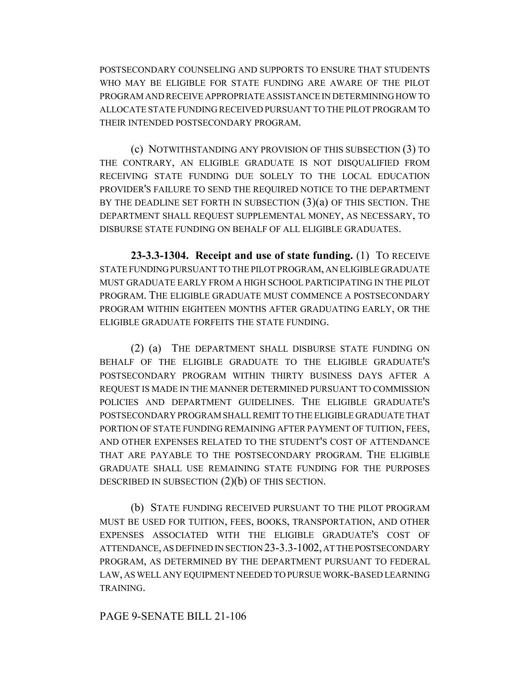POSTSECONDARY COUNSELING AND SUPPORTS TO ENSURE THAT STUDENTS WHO MAY BE ELIGIBLE FOR STATE FUNDING ARE AWARE OF THE PILOT PROGRAM AND RECEIVE APPROPRIATE ASSISTANCE IN DETERMINING HOW TO ALLOCATE STATE FUNDING RECEIVED PURSUANT TO THE PILOT PROGRAM TO THEIR INTENDED POSTSECONDARY PROGRAM.

(c) NOTWITHSTANDING ANY PROVISION OF THIS SUBSECTION (3) TO THE CONTRARY, AN ELIGIBLE GRADUATE IS NOT DISQUALIFIED FROM RECEIVING STATE FUNDING DUE SOLELY TO THE LOCAL EDUCATION PROVIDER'S FAILURE TO SEND THE REQUIRED NOTICE TO THE DEPARTMENT BY THE DEADLINE SET FORTH IN SUBSECTION  $(3)(a)$  OF THIS SECTION. THE DEPARTMENT SHALL REQUEST SUPPLEMENTAL MONEY, AS NECESSARY, TO DISBURSE STATE FUNDING ON BEHALF OF ALL ELIGIBLE GRADUATES.

**23-3.3-1304. Receipt and use of state funding.** (1) TO RECEIVE STATE FUNDING PURSUANT TO THE PILOT PROGRAM, AN ELIGIBLE GRADUATE MUST GRADUATE EARLY FROM A HIGH SCHOOL PARTICIPATING IN THE PILOT PROGRAM. THE ELIGIBLE GRADUATE MUST COMMENCE A POSTSECONDARY PROGRAM WITHIN EIGHTEEN MONTHS AFTER GRADUATING EARLY, OR THE ELIGIBLE GRADUATE FORFEITS THE STATE FUNDING.

(2) (a) THE DEPARTMENT SHALL DISBURSE STATE FUNDING ON BEHALF OF THE ELIGIBLE GRADUATE TO THE ELIGIBLE GRADUATE'S POSTSECONDARY PROGRAM WITHIN THIRTY BUSINESS DAYS AFTER A REQUEST IS MADE IN THE MANNER DETERMINED PURSUANT TO COMMISSION POLICIES AND DEPARTMENT GUIDELINES. THE ELIGIBLE GRADUATE'S POSTSECONDARY PROGRAM SHALL REMIT TO THE ELIGIBLE GRADUATE THAT PORTION OF STATE FUNDING REMAINING AFTER PAYMENT OF TUITION, FEES, AND OTHER EXPENSES RELATED TO THE STUDENT'S COST OF ATTENDANCE THAT ARE PAYABLE TO THE POSTSECONDARY PROGRAM. THE ELIGIBLE GRADUATE SHALL USE REMAINING STATE FUNDING FOR THE PURPOSES DESCRIBED IN SUBSECTION (2)(b) OF THIS SECTION.

(b) STATE FUNDING RECEIVED PURSUANT TO THE PILOT PROGRAM MUST BE USED FOR TUITION, FEES, BOOKS, TRANSPORTATION, AND OTHER EXPENSES ASSOCIATED WITH THE ELIGIBLE GRADUATE'S COST OF ATTENDANCE, AS DEFINED IN SECTION 23-3.3-1002, AT THE POSTSECONDARY PROGRAM, AS DETERMINED BY THE DEPARTMENT PURSUANT TO FEDERAL LAW, AS WELL ANY EQUIPMENT NEEDED TO PURSUE WORK-BASED LEARNING TRAINING.

### PAGE 9-SENATE BILL 21-106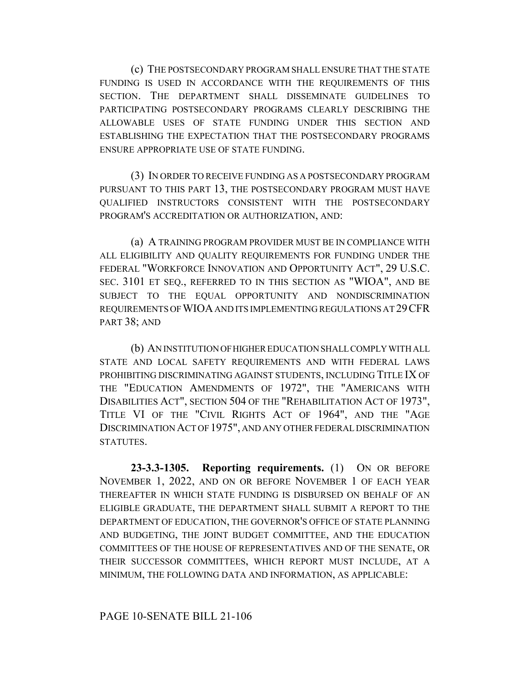(c) THE POSTSECONDARY PROGRAM SHALL ENSURE THAT THE STATE FUNDING IS USED IN ACCORDANCE WITH THE REQUIREMENTS OF THIS SECTION. THE DEPARTMENT SHALL DISSEMINATE GUIDELINES TO PARTICIPATING POSTSECONDARY PROGRAMS CLEARLY DESCRIBING THE ALLOWABLE USES OF STATE FUNDING UNDER THIS SECTION AND ESTABLISHING THE EXPECTATION THAT THE POSTSECONDARY PROGRAMS ENSURE APPROPRIATE USE OF STATE FUNDING.

(3) IN ORDER TO RECEIVE FUNDING AS A POSTSECONDARY PROGRAM PURSUANT TO THIS PART 13, THE POSTSECONDARY PROGRAM MUST HAVE QUALIFIED INSTRUCTORS CONSISTENT WITH THE POSTSECONDARY PROGRAM'S ACCREDITATION OR AUTHORIZATION, AND:

(a) A TRAINING PROGRAM PROVIDER MUST BE IN COMPLIANCE WITH ALL ELIGIBILITY AND QUALITY REQUIREMENTS FOR FUNDING UNDER THE FEDERAL "WORKFORCE INNOVATION AND OPPORTUNITY ACT", 29 U.S.C. SEC. 3101 ET SEQ., REFERRED TO IN THIS SECTION AS "WIOA", AND BE SUBJECT TO THE EQUAL OPPORTUNITY AND NONDISCRIMINATION REQUIREMENTS OF WIOA AND ITS IMPLEMENTING REGULATIONS AT 29CFR PART 38; AND

(b) AN INSTITUTION OF HIGHER EDUCATION SHALL COMPLY WITH ALL STATE AND LOCAL SAFETY REQUIREMENTS AND WITH FEDERAL LAWS PROHIBITING DISCRIMINATING AGAINST STUDENTS, INCLUDING TITLE IX OF THE "EDUCATION AMENDMENTS OF 1972", THE "AMERICANS WITH DISABILITIES ACT", SECTION 504 OF THE "REHABILITATION ACT OF 1973", TITLE VI OF THE "CIVIL RIGHTS ACT OF 1964", AND THE "AGE DISCRIMINATION ACT OF 1975", AND ANY OTHER FEDERAL DISCRIMINATION STATUTES.

**23-3.3-1305. Reporting requirements.** (1) ON OR BEFORE NOVEMBER 1, 2022, AND ON OR BEFORE NOVEMBER 1 OF EACH YEAR THEREAFTER IN WHICH STATE FUNDING IS DISBURSED ON BEHALF OF AN ELIGIBLE GRADUATE, THE DEPARTMENT SHALL SUBMIT A REPORT TO THE DEPARTMENT OF EDUCATION, THE GOVERNOR'S OFFICE OF STATE PLANNING AND BUDGETING, THE JOINT BUDGET COMMITTEE, AND THE EDUCATION COMMITTEES OF THE HOUSE OF REPRESENTATIVES AND OF THE SENATE, OR THEIR SUCCESSOR COMMITTEES, WHICH REPORT MUST INCLUDE, AT A MINIMUM, THE FOLLOWING DATA AND INFORMATION, AS APPLICABLE: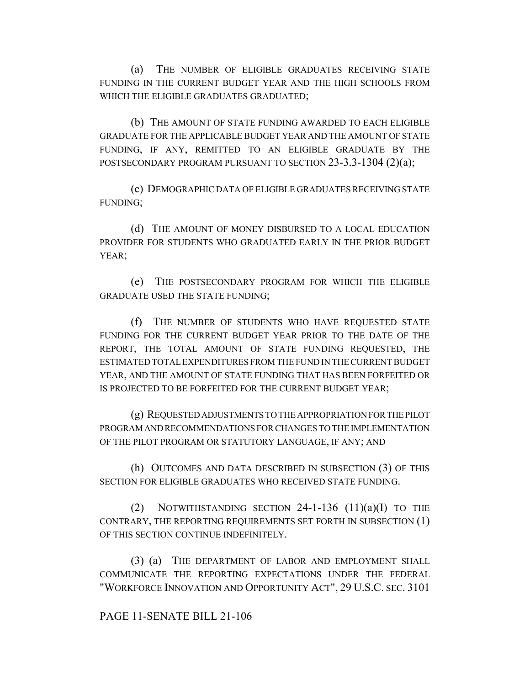(a) THE NUMBER OF ELIGIBLE GRADUATES RECEIVING STATE FUNDING IN THE CURRENT BUDGET YEAR AND THE HIGH SCHOOLS FROM WHICH THE ELIGIBLE GRADUATES GRADUATED;

(b) THE AMOUNT OF STATE FUNDING AWARDED TO EACH ELIGIBLE GRADUATE FOR THE APPLICABLE BUDGET YEAR AND THE AMOUNT OF STATE FUNDING, IF ANY, REMITTED TO AN ELIGIBLE GRADUATE BY THE POSTSECONDARY PROGRAM PURSUANT TO SECTION 23-3.3-1304 (2)(a);

(c) DEMOGRAPHIC DATA OF ELIGIBLE GRADUATES RECEIVING STATE FUNDING;

(d) THE AMOUNT OF MONEY DISBURSED TO A LOCAL EDUCATION PROVIDER FOR STUDENTS WHO GRADUATED EARLY IN THE PRIOR BUDGET YEAR;

(e) THE POSTSECONDARY PROGRAM FOR WHICH THE ELIGIBLE GRADUATE USED THE STATE FUNDING;

(f) THE NUMBER OF STUDENTS WHO HAVE REQUESTED STATE FUNDING FOR THE CURRENT BUDGET YEAR PRIOR TO THE DATE OF THE REPORT, THE TOTAL AMOUNT OF STATE FUNDING REQUESTED, THE ESTIMATED TOTAL EXPENDITURES FROM THE FUND IN THE CURRENT BUDGET YEAR, AND THE AMOUNT OF STATE FUNDING THAT HAS BEEN FORFEITED OR IS PROJECTED TO BE FORFEITED FOR THE CURRENT BUDGET YEAR;

(g) REQUESTED ADJUSTMENTS TO THE APPROPRIATION FOR THE PILOT PROGRAM AND RECOMMENDATIONS FOR CHANGES TO THE IMPLEMENTATION OF THE PILOT PROGRAM OR STATUTORY LANGUAGE, IF ANY; AND

(h) OUTCOMES AND DATA DESCRIBED IN SUBSECTION (3) OF THIS SECTION FOR ELIGIBLE GRADUATES WHO RECEIVED STATE FUNDING.

(2) NOTWITHSTANDING SECTION  $24$ -1-136  $(11)(a)(I)$  to the CONTRARY, THE REPORTING REQUIREMENTS SET FORTH IN SUBSECTION (1) OF THIS SECTION CONTINUE INDEFINITELY.

(3) (a) THE DEPARTMENT OF LABOR AND EMPLOYMENT SHALL COMMUNICATE THE REPORTING EXPECTATIONS UNDER THE FEDERAL "WORKFORCE INNOVATION AND OPPORTUNITY ACT", 29 U.S.C. SEC. 3101

## PAGE 11-SENATE BILL 21-106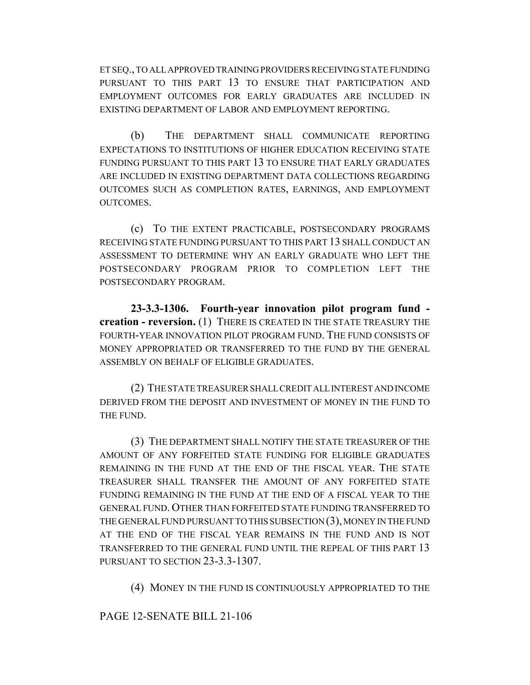ET SEQ., TO ALL APPROVED TRAINING PROVIDERS RECEIVING STATE FUNDING PURSUANT TO THIS PART 13 TO ENSURE THAT PARTICIPATION AND EMPLOYMENT OUTCOMES FOR EARLY GRADUATES ARE INCLUDED IN EXISTING DEPARTMENT OF LABOR AND EMPLOYMENT REPORTING.

(b) THE DEPARTMENT SHALL COMMUNICATE REPORTING EXPECTATIONS TO INSTITUTIONS OF HIGHER EDUCATION RECEIVING STATE FUNDING PURSUANT TO THIS PART 13 TO ENSURE THAT EARLY GRADUATES ARE INCLUDED IN EXISTING DEPARTMENT DATA COLLECTIONS REGARDING OUTCOMES SUCH AS COMPLETION RATES, EARNINGS, AND EMPLOYMENT OUTCOMES.

(c) TO THE EXTENT PRACTICABLE, POSTSECONDARY PROGRAMS RECEIVING STATE FUNDING PURSUANT TO THIS PART 13 SHALL CONDUCT AN ASSESSMENT TO DETERMINE WHY AN EARLY GRADUATE WHO LEFT THE POSTSECONDARY PROGRAM PRIOR TO COMPLETION LEFT THE POSTSECONDARY PROGRAM.

**23-3.3-1306. Fourth-year innovation pilot program fund creation - reversion.** (1) THERE IS CREATED IN THE STATE TREASURY THE FOURTH-YEAR INNOVATION PILOT PROGRAM FUND. THE FUND CONSISTS OF MONEY APPROPRIATED OR TRANSFERRED TO THE FUND BY THE GENERAL ASSEMBLY ON BEHALF OF ELIGIBLE GRADUATES.

(2) THE STATE TREASURER SHALL CREDIT ALL INTEREST AND INCOME DERIVED FROM THE DEPOSIT AND INVESTMENT OF MONEY IN THE FUND TO THE FUND.

(3) THE DEPARTMENT SHALL NOTIFY THE STATE TREASURER OF THE AMOUNT OF ANY FORFEITED STATE FUNDING FOR ELIGIBLE GRADUATES REMAINING IN THE FUND AT THE END OF THE FISCAL YEAR. THE STATE TREASURER SHALL TRANSFER THE AMOUNT OF ANY FORFEITED STATE FUNDING REMAINING IN THE FUND AT THE END OF A FISCAL YEAR TO THE GENERAL FUND. OTHER THAN FORFEITED STATE FUNDING TRANSFERRED TO THE GENERAL FUND PURSUANT TO THIS SUBSECTION (3), MONEY IN THE FUND AT THE END OF THE FISCAL YEAR REMAINS IN THE FUND AND IS NOT TRANSFERRED TO THE GENERAL FUND UNTIL THE REPEAL OF THIS PART 13 PURSUANT TO SECTION 23-3.3-1307.

(4) MONEY IN THE FUND IS CONTINUOUSLY APPROPRIATED TO THE

PAGE 12-SENATE BILL 21-106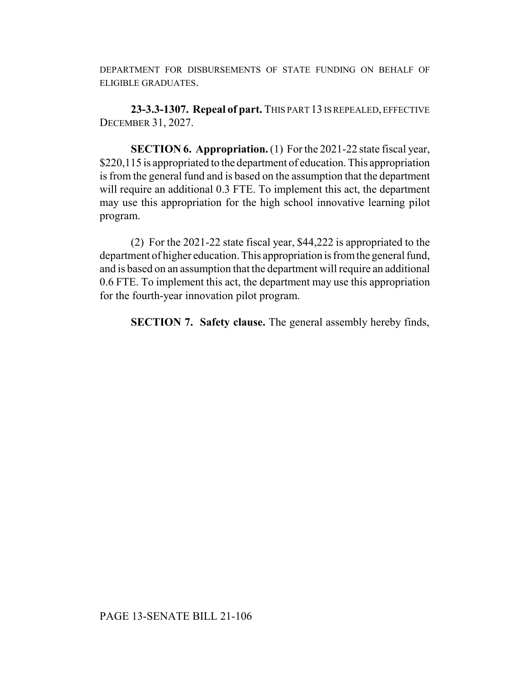DEPARTMENT FOR DISBURSEMENTS OF STATE FUNDING ON BEHALF OF ELIGIBLE GRADUATES.

**23-3.3-1307. Repeal of part.** THIS PART 13 IS REPEALED, EFFECTIVE DECEMBER 31, 2027.

**SECTION 6. Appropriation.** (1) For the 2021-22 state fiscal year, \$220,115 is appropriated to the department of education. This appropriation is from the general fund and is based on the assumption that the department will require an additional 0.3 FTE. To implement this act, the department may use this appropriation for the high school innovative learning pilot program.

(2) For the 2021-22 state fiscal year, \$44,222 is appropriated to the department of higher education. This appropriation is from the general fund, and is based on an assumption that the department will require an additional 0.6 FTE. To implement this act, the department may use this appropriation for the fourth-year innovation pilot program.

**SECTION 7. Safety clause.** The general assembly hereby finds,